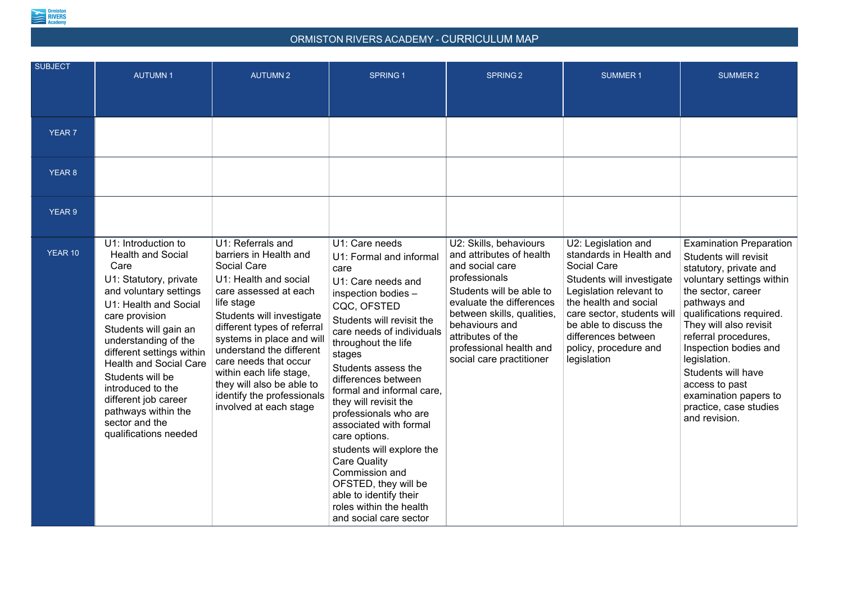

## ORMISTON RIVERS ACADEMY - CURRICULUM MAP

| <b>SUBJECT</b> | <b>AUTUMN1</b>                                                                                                                                                                                                                                                                                                                                                                                           | <b>AUTUMN2</b>                                                                                                                                                                                                                                                                                                                                                                                  | <b>SPRING1</b>                                                                                                                                                                                                                                                                                                                                                                                                                                                                                                                                                | <b>SPRING 2</b>                                                                                                                                                                                                                                                            | <b>SUMMER 1</b>                                                                                                                                                                                                                                                              | <b>SUMMER 2</b>                                                                                                                                                                                                                                                                                                                                                                         |
|----------------|----------------------------------------------------------------------------------------------------------------------------------------------------------------------------------------------------------------------------------------------------------------------------------------------------------------------------------------------------------------------------------------------------------|-------------------------------------------------------------------------------------------------------------------------------------------------------------------------------------------------------------------------------------------------------------------------------------------------------------------------------------------------------------------------------------------------|---------------------------------------------------------------------------------------------------------------------------------------------------------------------------------------------------------------------------------------------------------------------------------------------------------------------------------------------------------------------------------------------------------------------------------------------------------------------------------------------------------------------------------------------------------------|----------------------------------------------------------------------------------------------------------------------------------------------------------------------------------------------------------------------------------------------------------------------------|------------------------------------------------------------------------------------------------------------------------------------------------------------------------------------------------------------------------------------------------------------------------------|-----------------------------------------------------------------------------------------------------------------------------------------------------------------------------------------------------------------------------------------------------------------------------------------------------------------------------------------------------------------------------------------|
|                |                                                                                                                                                                                                                                                                                                                                                                                                          |                                                                                                                                                                                                                                                                                                                                                                                                 |                                                                                                                                                                                                                                                                                                                                                                                                                                                                                                                                                               |                                                                                                                                                                                                                                                                            |                                                                                                                                                                                                                                                                              |                                                                                                                                                                                                                                                                                                                                                                                         |
|                |                                                                                                                                                                                                                                                                                                                                                                                                          |                                                                                                                                                                                                                                                                                                                                                                                                 |                                                                                                                                                                                                                                                                                                                                                                                                                                                                                                                                                               |                                                                                                                                                                                                                                                                            |                                                                                                                                                                                                                                                                              |                                                                                                                                                                                                                                                                                                                                                                                         |
| <b>YEAR 7</b>  |                                                                                                                                                                                                                                                                                                                                                                                                          |                                                                                                                                                                                                                                                                                                                                                                                                 |                                                                                                                                                                                                                                                                                                                                                                                                                                                                                                                                                               |                                                                                                                                                                                                                                                                            |                                                                                                                                                                                                                                                                              |                                                                                                                                                                                                                                                                                                                                                                                         |
| <b>YEAR 8</b>  |                                                                                                                                                                                                                                                                                                                                                                                                          |                                                                                                                                                                                                                                                                                                                                                                                                 |                                                                                                                                                                                                                                                                                                                                                                                                                                                                                                                                                               |                                                                                                                                                                                                                                                                            |                                                                                                                                                                                                                                                                              |                                                                                                                                                                                                                                                                                                                                                                                         |
| <b>YEAR 9</b>  |                                                                                                                                                                                                                                                                                                                                                                                                          |                                                                                                                                                                                                                                                                                                                                                                                                 |                                                                                                                                                                                                                                                                                                                                                                                                                                                                                                                                                               |                                                                                                                                                                                                                                                                            |                                                                                                                                                                                                                                                                              |                                                                                                                                                                                                                                                                                                                                                                                         |
| <b>YEAR 10</b> | U1: Introduction to<br><b>Health and Social</b><br>Care<br>U1: Statutory, private<br>and voluntary settings<br>U1: Health and Social<br>care provision<br>Students will gain an<br>understanding of the<br>different settings within<br><b>Health and Social Care</b><br>Students will be<br>introduced to the<br>different job career<br>pathways within the<br>sector and the<br>qualifications needed | U1: Referrals and<br>barriers in Health and<br><b>Social Care</b><br>U1: Health and social<br>care assessed at each<br>life stage<br>Students will investigate<br>different types of referral<br>systems in place and will<br>understand the different<br>care needs that occur<br>within each life stage,<br>they will also be able to<br>identify the professionals<br>involved at each stage | U1: Care needs<br>U1: Formal and informal<br>care<br>U1: Care needs and<br>inspection bodies -<br>CQC, OFSTED<br>Students will revisit the<br>care needs of individuals<br>throughout the life<br>stages<br>Students assess the<br>differences between<br>formal and informal care,<br>they will revisit the<br>professionals who are<br>associated with formal<br>care options.<br>students will explore the<br><b>Care Quality</b><br>Commission and<br>OFSTED, they will be<br>able to identify their<br>roles within the health<br>and social care sector | U2: Skills, behaviours<br>and attributes of health<br>and social care<br>professionals<br>Students will be able to<br>evaluate the differences<br>between skills, qualities,<br>behaviours and<br>attributes of the<br>professional health and<br>social care practitioner | U2: Legislation and<br>standards in Health and<br><b>Social Care</b><br>Students will investigate<br>Legislation relevant to<br>the health and social<br>care sector, students will<br>be able to discuss the<br>differences between<br>policy, procedure and<br>legislation | <b>Examination Preparation</b><br>Students will revisit<br>statutory, private and<br>voluntary settings within<br>the sector, career<br>pathways and<br>qualifications required.<br>They will also revisit<br>referral procedures,<br>Inspection bodies and<br>legislation.<br>Students will have<br>access to past<br>examination papers to<br>practice, case studies<br>and revision. |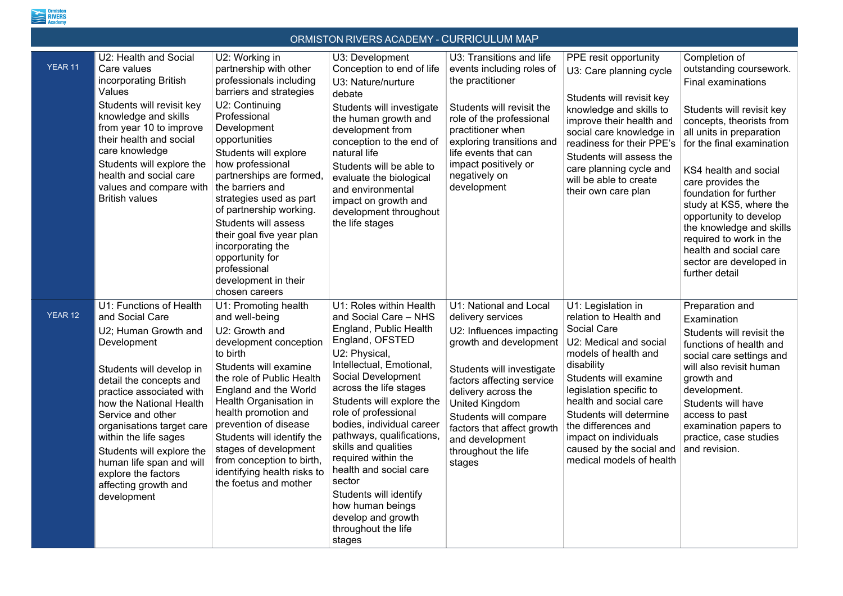

## ORMISTON RIVERS ACADEMY - CURRICULUM MAP

|                |                                                                                                                                                                                                                                                                                                                                                                                                   |                                                                                                                                                                                                                                                                                                                                                                                                                                                                                   | <u>UNIMIU FUNTUR LINU MUMDEMI F UUTNINUULUMI MMI</u>                                                                                                                                                                                                                                                                                                                                                                                                                                              |                                                                                                                                                                                                                                                                                                                 |                                                                                                                                                                                                                                                                                                                                                     |                                                                                                                                                                                                                                                                                                                                                                                                                                                    |
|----------------|---------------------------------------------------------------------------------------------------------------------------------------------------------------------------------------------------------------------------------------------------------------------------------------------------------------------------------------------------------------------------------------------------|-----------------------------------------------------------------------------------------------------------------------------------------------------------------------------------------------------------------------------------------------------------------------------------------------------------------------------------------------------------------------------------------------------------------------------------------------------------------------------------|---------------------------------------------------------------------------------------------------------------------------------------------------------------------------------------------------------------------------------------------------------------------------------------------------------------------------------------------------------------------------------------------------------------------------------------------------------------------------------------------------|-----------------------------------------------------------------------------------------------------------------------------------------------------------------------------------------------------------------------------------------------------------------------------------------------------------------|-----------------------------------------------------------------------------------------------------------------------------------------------------------------------------------------------------------------------------------------------------------------------------------------------------------------------------------------------------|----------------------------------------------------------------------------------------------------------------------------------------------------------------------------------------------------------------------------------------------------------------------------------------------------------------------------------------------------------------------------------------------------------------------------------------------------|
| <b>YEAR 11</b> | U2: Health and Social<br>Care values<br>incorporating British<br>Values<br>Students will revisit key<br>knowledge and skills<br>from year 10 to improve<br>their health and social<br>care knowledge<br>Students will explore the<br>health and social care<br>values and compare with<br><b>British values</b>                                                                                   | U2: Working in<br>partnership with other<br>professionals including<br>barriers and strategies<br>U2: Continuing<br>Professional<br>Development<br>opportunities<br>Students will explore<br>how professional<br>partnerships are formed,<br>the barriers and<br>strategies used as part<br>of partnership working.<br><b>Students will assess</b><br>their goal five year plan<br>incorporating the<br>opportunity for<br>professional<br>development in their<br>chosen careers | U3: Development<br>Conception to end of life<br>U3: Nature/nurture<br>debate<br>Students will investigate<br>the human growth and<br>development from<br>conception to the end of<br>natural life<br>Students will be able to<br>evaluate the biological<br>and environmental<br>impact on growth and<br>development throughout<br>the life stages                                                                                                                                                | U3: Transitions and life<br>events including roles of<br>the practitioner<br>Students will revisit the<br>role of the professional<br>practitioner when<br>exploring transitions and<br>life events that can<br>impact positively or<br>negatively on<br>development                                            | PPE resit opportunity<br>U3: Care planning cycle<br>Students will revisit key<br>knowledge and skills to<br>improve their health and<br>social care knowledge in<br>readiness for their PPE's<br>Students will assess the<br>care planning cycle and<br>will be able to create<br>their own care plan                                               | Completion of<br>outstanding coursework.<br><b>Final examinations</b><br>Students will revisit key<br>concepts, theorists from<br>all units in preparation<br>for the final examination<br>KS4 health and social<br>care provides the<br>foundation for further<br>study at KS5, where the<br>opportunity to develop<br>the knowledge and skills<br>required to work in the<br>health and social care<br>sector are developed in<br>further detail |
| <b>YEAR 12</b> | U1: Functions of Health<br>and Social Care<br>U2; Human Growth and<br>Development<br>Students will develop in<br>detail the concepts and<br>practice associated with<br>how the National Health<br>Service and other<br>organisations target care<br>within the life sages<br>Students will explore the<br>human life span and will<br>explore the factors<br>affecting growth and<br>development | U1: Promoting health<br>and well-being<br>U2: Growth and<br>development conception<br>to birth<br>Students will examine<br>the role of Public Health<br>England and the World<br>Health Organisation in<br>health promotion and<br>prevention of disease<br>Students will identify the<br>stages of development<br>from conception to birth,<br>identifying health risks to<br>the foetus and mother                                                                              | U1: Roles within Health<br>and Social Care - NHS<br>England, Public Health<br>England, OFSTED<br>U2: Physical,<br>Intellectual, Emotional,<br>Social Development<br>across the life stages<br>Students will explore the<br>role of professional<br>bodies, individual career<br>pathways, qualifications,<br>skills and qualities<br>required within the<br>health and social care<br>sector<br>Students will identify<br>how human beings<br>develop and growth<br>throughout the life<br>stages | U1: National and Local<br>delivery services<br>U2: Influences impacting<br>growth and development<br>Students will investigate<br>factors affecting service<br>delivery across the<br>United Kingdom<br>Students will compare<br>factors that affect growth<br>and development<br>throughout the life<br>stages | U1: Legislation in<br>relation to Health and<br><b>Social Care</b><br>U2: Medical and social<br>models of health and<br>disability<br>Students will examine<br>legislation specific to<br>health and social care<br>Students will determine<br>the differences and<br>impact on individuals<br>caused by the social and<br>medical models of health | Preparation and<br>Examination<br>Students will revisit the<br>functions of health and<br>social care settings and<br>will also revisit human<br>growth and<br>development.<br>Students will have<br>access to past<br>examination papers to<br>practice, case studies<br>and revision.                                                                                                                                                            |